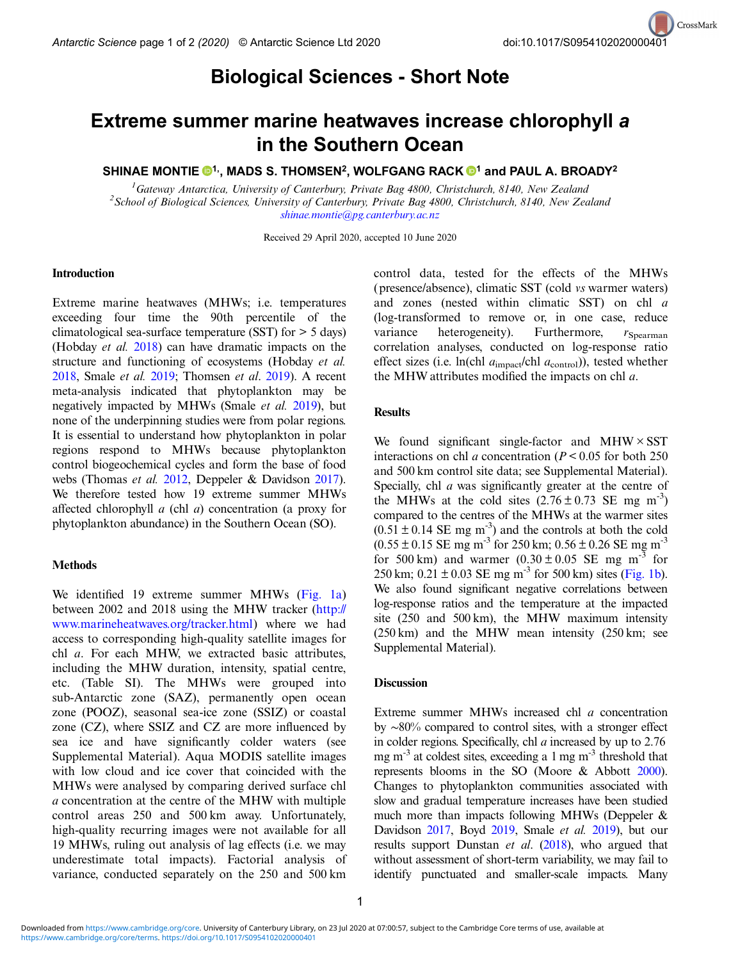## Biological Sciences - Short Note

# Extreme summer marine heatwaves increase chlorophyll a in the Southern Ocean

SHINAE MONTIE  $\mathbf{0}^{1}$ , MADS S. THOMSEN<sup>2</sup>, WOLFGANG RACK  $\mathbf{0}^{1}$  and PAUL A. BROADY<sup>2</sup>

<sup>1</sup> Gateway Antarctica, University of Canterbury, Private Bag 4800, Christchurch, 8140, New Zealand<br><sup>2</sup> School of Biological Sciences, University of Canterbury, Private Bag 4800, Christchurch, 8140, New Zea <sup>2</sup> School of Biological Sciences, University of Canterbury, Private Bag 4800, Christchurch, 8140, New Zealand [shinae.montie@pg.canterbury.ac.nz](mailto:shinae.montie@pg.canterbury.ac.nz)

Received 29 April 2020, accepted 10 June 2020

#### Introduction

Extreme marine heatwaves (MHWs; i.e. temperatures exceeding four time the 90th percentile of the climatological sea-surface temperature (SST) for > 5 days) (Hobday et al. [2018\)](#page-1-0) can have dramatic impacts on the structure and functioning of ecosystems (Hobday et al. [2018](#page-1-0), Smale et al. [2019;](#page-1-0) Thomsen et al. [2019](#page-1-0)). A recent meta-analysis indicated that phytoplankton may be negatively impacted by MHWs (Smale et al. [2019](#page-1-0)), but none of the underpinning studies were from polar regions. It is essential to understand how phytoplankton in polar regions respond to MHWs because phytoplankton control biogeochemical cycles and form the base of food webs (Thomas et al. [2012,](#page-1-0) Deppeler & Davidson [2017](#page-1-0)). We therefore tested how 19 extreme summer MHWs affected chlorophyll a (chl a) concentration (a proxy for phytoplankton abundance) in the Southern Ocean (SO).

#### **Methods**

We identified 19 extreme summer MHWs [\(Fig. 1a\)](#page-1-0) between 2002 and 2018 using the MHW tracker ([http://](http://www.marineheatwaves.org/tracker.html) [www.marineheatwaves.org/tracker.html](http://www.marineheatwaves.org/tracker.html)) where we had access to corresponding high-quality satellite images for chl a. For each MHW, we extracted basic attributes, including the MHW duration, intensity, spatial centre, etc. (Table SI). The MHWs were grouped into sub-Antarctic zone (SAZ), permanently open ocean zone (POOZ), seasonal sea-ice zone (SSIZ) or coastal zone (CZ), where SSIZ and CZ are more influenced by sea ice and have significantly colder waters (see Supplemental Material). Aqua MODIS satellite images with low cloud and ice cover that coincided with the MHWs were analysed by comparing derived surface chl a concentration at the centre of the MHW with multiple control areas 250 and 500 km away. Unfortunately, high-quality recurring images were not available for all 19 MHWs, ruling out analysis of lag effects (i.e. we may underestimate total impacts). Factorial analysis of variance, conducted separately on the 250 and 500 km

control data, tested for the effects of the MHWs (presence/absence), climatic SST (cold vs warmer waters) and zones (nested within climatic SST) on chl a (log-transformed to remove or, in one case, reduce variance heterogeneity). Furthermore,  $r_{Spearman}$ correlation analyses, conducted on log-response ratio effect sizes (i.e. ln(chl  $a_{\rm{impact}}$ /chl  $a_{\rm{control}}$ )), tested whether the MHW attributes modified the impacts on chl a.

#### **Results**

We found significant single-factor and  $MHW \times SST$ interactions on chl *a* concentration ( $P < 0.05$  for both 250 and 500 km control site data; see Supplemental Material). Specially, chl *a* was significantly greater at the centre of the MHWs at the cold sites  $(2.76 \pm 0.73 \text{ SE mg m}^{-3})$ compared to the centres of the MHWs at the warmer sites  $(0.51 \pm 0.14 \text{ SE mg m}^{-3})$  and the controls at both the cold  $(0.55 \pm 0.15 \text{ SE mg m}^{-3} \text{ for } 250 \text{ km}; 0.56 \pm 0.26 \text{ SE mg m}^{-3}$ for 500 km) and warmer  $(0.30 \pm 0.05$  SE mg m<sup>-3</sup> for 250 km;  $0.21 \pm 0.03$  SE mg m<sup>-3</sup> for 500 km) sites [\(Fig. 1b](#page-1-0)). We also found significant negative correlations between log-response ratios and the temperature at the impacted site (250 and 500 km), the MHW maximum intensity (250 km) and the MHW mean intensity (250 km; see Supplemental Material).

#### **Discussion**

Extreme summer MHWs increased chl a concentration by ∼80% compared to control sites, with a stronger effect in colder regions. Specifically, chl a increased by up to 2.76 mg  $m^{-3}$  at coldest sites, exceeding a 1 mg  $m^{-3}$  threshold that represents blooms in the SO (Moore & Abbott [2000](#page-1-0)). Changes to phytoplankton communities associated with slow and gradual temperature increases have been studied much more than impacts following MHWs (Deppeler & Davidson [2017](#page-1-0), Boyd [2019,](#page-1-0) Smale et al. [2019\)](#page-1-0), but our results support Dunstan et al. ([2018\)](#page-1-0), who argued that without assessment of short-term variability, we may fail to identify punctuated and smaller-scale impacts. Many